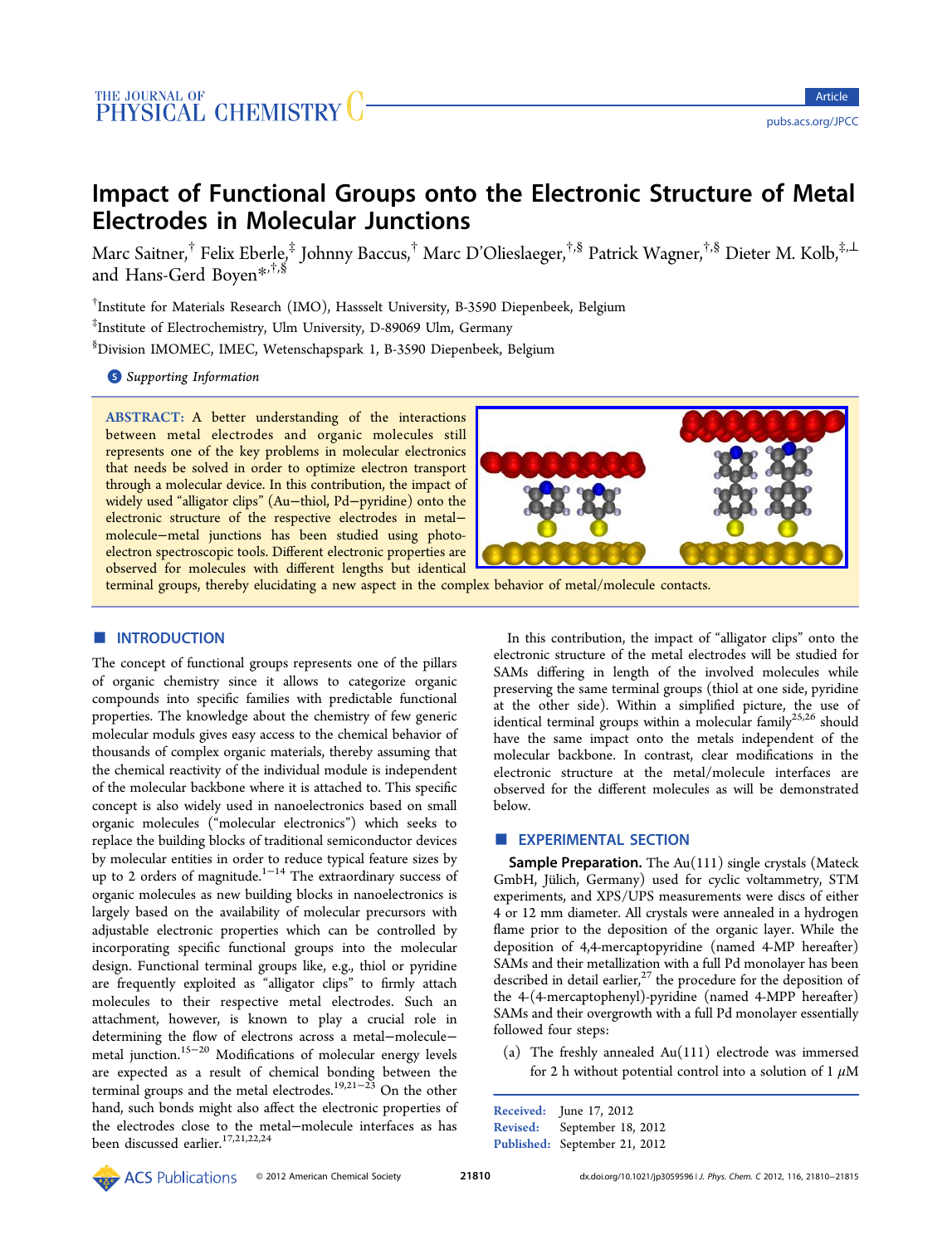# Impact of Functional Groups onto the Electronic Structure of Metal Electrodes in Molecular Junctions

Marc Saitner,<sup>†</sup> Felix Eberle,<sup>‡</sup> Johnny Baccus,<sup>†</sup> Marc D'Olieslaeger,<sup>†,§</sup> Patrick Wagner,<sup>†,§</sup> Dieter M. Kolb,<sup>‡,⊥</sup> and Hans-Gerd Boyen\*,<sup>†,§</sup>

† Institute for Materials Rese[arc](#page-4-0)h (IMO), Hassselt University, B-3590 Diepenbeek, Belgium ‡ Institute of Electrochemistry, Ulm University, D-89069 Ulm, Germany § Division IMOMEC, IMEC, Wetenschapspark 1, B-3590 Diepenbeek, Belgium

**S** Supporting Information

[AB](#page-4-0)STRACT: [A better un](#page-4-0)derstanding of the interactions between metal electrodes and organic molecules still represents one of the key problems in molecular electronics that needs be solved in order to optimize electron transport through a molecular device. In this contribution, the impact of widely used "alligator clips" (Au−thiol, Pd−pyridine) onto the electronic structure of the respective electrodes in metal− molecule−metal junctions has been studied using photoelectron spectroscopic tools. Different electronic properties are observed for molecules with different lengths but identical



Article

pubs.acs.org/JPCC

terminal groups, thereby elucidating a new aspect in the compl[ex behavior of metal/molecule contacts.](http://pubs.acs.org/action/showImage?doi=10.1021/jp3059596&iName=master.img-000.jpg&w=238&h=101)

# **ENTRODUCTION**

The concept of functional groups represents one of the pillars of organic chemistry since it allows to categorize organic compounds into specific families with predictable functional properties. The knowledge about the chemistry of few generic molecular moduls gives easy access to the chemical behavior of thousands of complex organic materials, thereby assuming that the chemical reactivity of the individual module is independent of the molecular backbone where it is attached to. This specific concept is also widely used in nanoelectronics based on small organic molecules ("molecular electronics") which seeks to replace the building blocks of traditional semiconductor devices by molecular entities in order to reduce typical feature sizes by up to 2 orders of magnitude.<sup>1−14</sup> The extraordinary success of organic molecules as new building blocks in nanoelectronics is largely based on the availab[ili](#page-4-0)t[y o](#page-4-0)f molecular precursors with adjustable electronic properties which can be controlled by incorporating specific functional groups into the molecular design. Functional terminal groups like, e.g., thiol or pyridine are frequently exploited as "alligator clips" to firmly attach molecules to their respective metal electrodes. Such an attachment, however, is known to play a crucial role in determining the flow of electrons across a metal−molecule− metal junction.15−<sup>20</sup> Modifications of molecular energy levels are expected as a result of chemical bonding between the terminal group[s and](#page-4-0) the metal electrodes.<sup>19,21−23</sup> On the other hand, such bonds might also affect the electronic properties of the electrodes close to the metal−mole[cule](#page-4-0) i[nte](#page-4-0)rfaces as has been discussed earlier.<sup>17,21,22,24</sup>

In this contribution, the impact of "alligator clips" onto the electronic structure of the metal electrodes will be studied for SAMs differing in length of the involved molecules while preserving the same terminal groups (thiol at one side, pyridine at the other side). Within a simplified picture, the use of identical terminal groups within a molecular family<sup>25,26</sup> should have the same impact onto the metals independent of the molecular backbone. In contrast, clear modificat[ions](#page-4-0) in the electronic structure at the metal/molecule interfaces are observed for the different molecules as will be demonstrated below.

# **EXPERIMENTAL SECTION**

Sample Preparation. The Au(111) single crystals (Mateck GmbH, Jülich, Germany) used for cyclic voltammetry, STM experiments, and XPS/UPS measurements were discs of either 4 or 12 mm diameter. All crystals were annealed in a hydrogen flame prior to the deposition of the organic layer. While the deposition of 4,4-mercaptopyridine (named 4-MP hereafter) SAMs and their metallization with a full Pd monolayer has been described in detail earlier, $^{27}$  the procedure for the deposition of the 4-(4-mercaptophenyl)-pyridine (named 4-MPP hereafter) SAMs and their overgrow[th](#page-4-0) with a full Pd monolayer essentially followed four steps:

(a) The freshly annealed Au(111) electrode was immersed for 2 h without potential control into a solution of 1  $\mu$ M

Received: June 17, 2012 Revised: September 18, 2012 Published: September 21, 2012

ACS Publications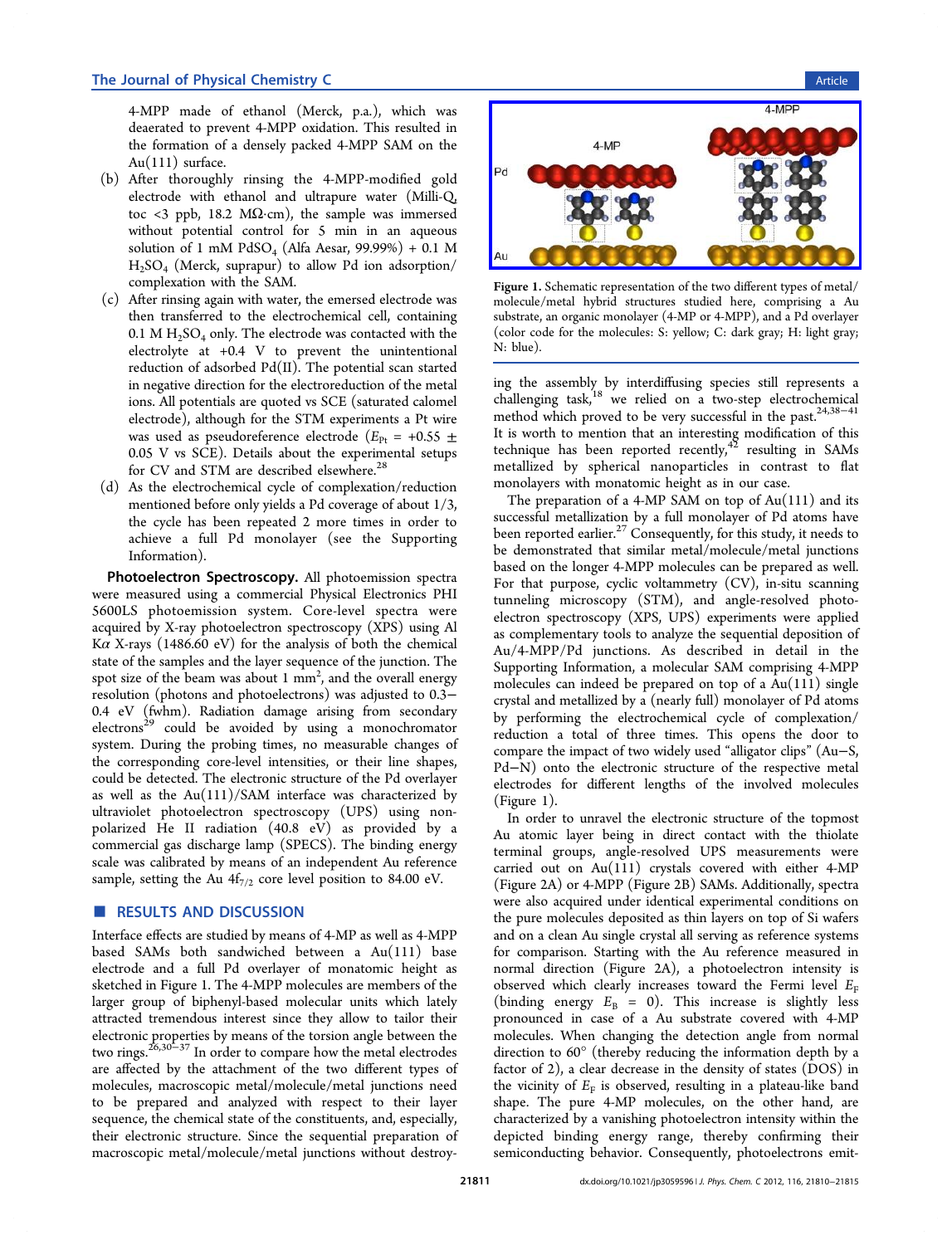4-MPP made of ethanol (Merck, p.a.), which was deaerated to prevent 4-MPP oxidation. This resulted in the formation of a densely packed 4-MPP SAM on the Au(111) surface.

- (b) After thoroughly rinsing the 4-MPP-modified gold electrode with ethanol and ultrapure water (Milli-Q, toc <3 ppb, 18.2 M $\Omega$ ·cm), the sample was immersed without potential control for 5 min in an aqueous solution of 1 mM PdSO<sub>4</sub> (Alfa Aesar, 99.99%) + 0.1 M  $H<sub>2</sub>SO<sub>4</sub>$  (Merck, suprapur) to allow Pd ion adsorption/ complexation with the SAM.
- (c) After rinsing again with water, the emersed electrode was then transferred to the electrochemical cell, containing 0.1 M  $H_2SO_4$  only. The electrode was contacted with the electrolyte at +0.4 V to prevent the unintentional reduction of adsorbed Pd(II). The potential scan started in negative direction for the electroreduction of the metal ions. All potentials are quoted vs SCE (saturated calomel electrode), although for the STM experiments a Pt wire was used as pseudoreference electrode ( $E_{\text{Pt}}$  = +0.55  $\pm$ 0.05 V vs SCE). Details about the experimental setups for CV and STM are described elsewhere.<sup>28</sup>
- (d) As the electrochemical cycle of complexation/reduction mentioned before only yields a Pd coverag[e o](#page-5-0)f about 1/3, the cycle has been repeated 2 more times in order to achieve a full Pd monolayer (see the Supporting Information).

Photoelectron Spectroscopy. All photoemis[sion spectra](#page-4-0) were [measured us](#page-4-0)ing a commercial Physical Electronics PHI 5600LS photoemission system. Core-level spectra were acquired by X-ray photoelectron spectroscopy (XPS) using Al K $\alpha$  X-rays (1486.60 eV) for the analysis of both the chemical state of the samples and the layer sequence of the junction. The spot size of the beam was about  $1 \text{ mm}^2$ , and the overall energy resolution (photons and photoelectrons) was adjusted to 0.3− 0.4 eV (fwhm). Radiation damage arising from secondary electrons<sup>29</sup> could be avoided by using a monochromator system. During the probing times, no measurable changes of the corr[esp](#page-5-0)onding core-level intensities, or their line shapes, could be detected. The electronic structure of the Pd overlayer as well as the Au(111)/SAM interface was characterized by ultraviolet photoelectron spectroscopy (UPS) using nonpolarized He II radiation (40.8 eV) as provided by a commercial gas discharge lamp (SPECS). The binding energy scale was calibrated by means of an independent Au reference sample, setting the Au  $4f_{7/2}$  core level position to 84.00 eV.

#### ■ RESULTS AND DISCUSSION

Interface effects are studied by means of 4-MP as well as 4-MPP based SAMs both sandwiched between a Au(111) base electrode and a full Pd overlayer of monatomic height as sketched in Figure 1. The 4-MPP molecules are members of the larger group of biphenyl-based molecular units which lately attracted tremendous interest since they allow to tailor their electronic properties by means of the torsion angle between the two rings.26,30−<sup>37</sup> In order to compare how the metal electrodes are affected by the attachment of the two different types of molecule[s,](#page-4-0) [macro](#page-5-0)scopic metal/molecule/metal junctions need to be prepared and analyzed with respect to their layer sequence, the chemical state of the constituents, and, especially, their electronic structure. Since the sequential preparation of macroscopic metal/molecule/metal junctions without destroy-



Figure 1. Schematic representation of the two different types of metal/ [molecule/metal hybrid structures studied here, comprising a Au](http://pubs.acs.org/action/showImage?doi=10.1021/jp3059596&iName=master.img-001.jpg&w=239&h=105) substrate, an organic monolayer (4-MP or 4-MPP), and a Pd overlayer (color code for the molecules: S: yellow; C: dark gray; H: light gray; N: blue).

ing the assembly by interdiffusing species still represents a challenging task,<sup>18</sup> we relied on a two-step electrochemical method which proved to be very successful in the past.24,38−<sup>41</sup> It is worth to m[en](#page-4-0)tion that an interesting modification of this technique has been reported recently, $^{42}$  resulting in [S](#page-4-0)[AMs](#page-5-0) metallized by spherical nanoparticles in contrast to flat monolayers with monatomic height as i[n](#page-5-0) our case.

The preparation of a 4-MP SAM on top of  $Au(111)$  and its successful metallization by a full monolayer of Pd atoms have been reported earlier.<sup>27</sup> Consequently, for this study, it needs to be demonstrated that similar metal/molecule/metal junctions based on the longer [4-M](#page-4-0)PP molecules can be prepared as well. For that purpose, cyclic voltammetry (CV), in-situ scanning tunneling microscopy (STM), and angle-resolved photoelectron spectroscopy (XPS, UPS) experiments were applied as complementary tools to analyze the sequential deposition of Au/4-MPP/Pd junctions. As described in detail in the Supporting Information, a molecular SAM comprising 4-MPP molecules can indeed be prepared on top of a Au(111) single [crystal and metallized by](#page-4-0) a (nearly full) monolayer of Pd atoms by performing the electrochemical cycle of complexation/ reduction a total of three times. This opens the door to compare the impact of two widely used "alligator clips" (Au−S, Pd-N) onto the electronic structure of the respective metal electrodes for different lengths of the involved molecules (Figure 1).

In order to unravel the electronic structure of the topmost Au atomic layer being in direct contact with the thiolate terminal groups, angle-resolved UPS measurements were carried out on Au(111) crystals covered with either 4-MP (Figure 2A) or 4-MPP (Figure 2B) SAMs. Additionally, spectra were also acquired under identical experimental conditions on the pur[e m](#page-2-0)olecules deposited [as](#page-2-0) thin layers on top of Si wafers and on a clean Au single crystal all serving as reference systems for comparison. Starting with the Au reference measured in normal direction (Figure 2A), a photoelectron intensity is observed which clearly increases toward the Fermi level  $E_F$ (binding energy  $E_B = 0$ [\).](#page-2-0) This increase is slightly less pronounced in case of a Au substrate covered with 4-MP molecules. When changing the detection angle from normal direction to 60° (thereby reducing the information depth by a factor of 2), a clear decrease in the density of states (DOS) in the vicinity of  $E_F$  is observed, resulting in a plateau-like band shape. The pure 4-MP molecules, on the other hand, are characterized by a vanishing photoelectron intensity within the depicted binding energy range, thereby confirming their semiconducting behavior. Consequently, photoelectrons emit-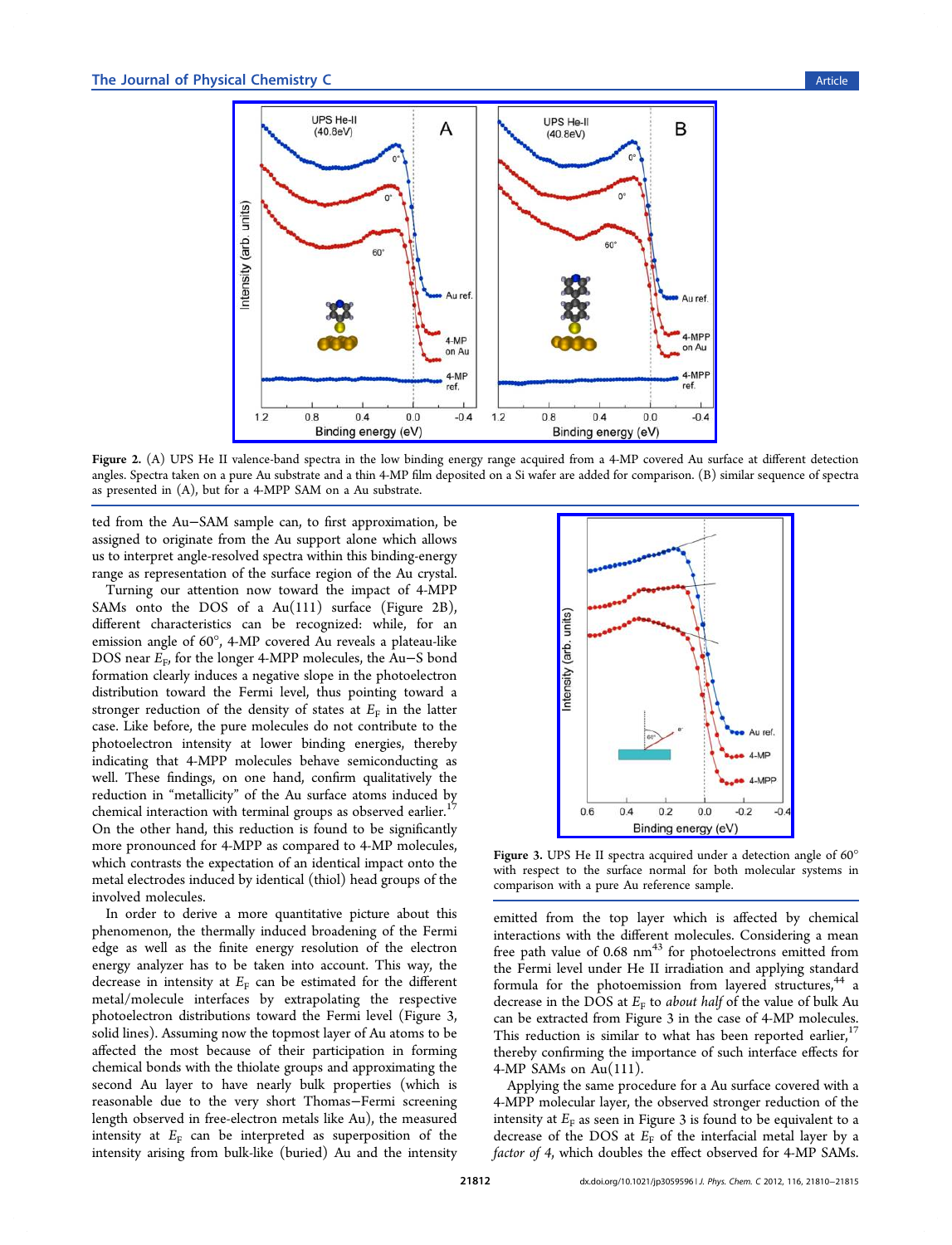<span id="page-2-0"></span>

Figure 2. (A) UPS He II [valence-band spectra in the low binding energy range acquired from a 4-MP covered Au s](http://pubs.acs.org/action/showImage?doi=10.1021/jp3059596&iName=master.img-002.jpg&w=313&h=219)urface at different detection angles. Spectra taken on a pure Au substrate and a thin 4-MP film deposited on a Si wafer are added for comparison. (B) similar sequence of spectra as presented in (A), but for a 4-MPP SAM on a Au substrate.

ted from the Au−SAM sample can, to first approximation, be assigned to originate from the Au support alone which allows us to interpret angle-resolved spectra within this binding-energy range as representation of the surface region of the Au crystal.

Turning our attention now toward the impact of 4-MPP SAMs onto the DOS of a Au(111) surface (Figure 2B), different characteristics can be recognized: while, for an emission angle of 60°, 4-MP covered Au reveals a plateau-like DOS near E<sub>F</sub>, for the longer 4-MPP molecules, the Au–S bond formation clearly induces a negative slope in the photoelectron distribution toward the Fermi level, thus pointing toward a stronger reduction of the density of states at  $E_F$  in the latter case. Like before, the pure molecules do not contribute to the photoelectron intensity at lower binding energies, thereby indicating that 4-MPP molecules behave semiconducting as well. These findings, on one hand, confirm qualitatively the reduction in "metallicity" of the Au surface atoms induced by chemical interaction with terminal groups as observed earlier.<sup>1</sup> On the other hand, this reduction is found to be significantly more pronounced for 4-MPP as compared to 4-MP molecul[es,](#page-4-0) which contrasts the expectation of an identical impact onto the metal electrodes induced by identical (thiol) head groups of the involved molecules.

In order to derive a more quantitative picture about this phenomenon, the thermally induced broadening of the Fermi edge as well as the finite energy resolution of the electron energy analyzer has to be taken into account. This way, the decrease in intensity at  $E_F$  can be estimated for the different metal/molecule interfaces by extrapolating the respective photoelectron distributions toward the Fermi level (Figure 3, solid lines). Assuming now the topmost layer of Au atoms to be affected the most because of their participation in forming chemical bonds with the thiolate groups and approximating the second Au layer to have nearly bulk properties (which is reasonable due to the very short Thomas−Fermi screening length observed in free-electron metals like Au), the measured intensity at  $E<sub>F</sub>$  can be interpreted as superposition of the intensity arising from bulk-like (buried) Au and the intensity



Figure 3. U[PS He II spectra acquired under a detection](http://pubs.acs.org/action/showImage?doi=10.1021/jp3059596&iName=master.img-003.jpg&w=150&h=208) angle of 60° with respect to the surface normal for both molecular systems in comparison with a pure Au reference sample.

emitted from the top layer which is affected by chemical interactions with the different molecules. Considering a mean free path value of  $0.68 \text{ nm}^{43}$  for photoelectrons emitted from the Fermi level under He II irradiation and applying standard formula for the photoemi[ssi](#page-5-0)on from layered structures,<sup>44</sup> a decrease in the DOS at  $E_F$  to *about half* of the value of bulk Au can be extracted from Figure 3 in the case of 4-MP molec[ule](#page-5-0)s. This reduction is similar to what has been reported earlier, $17$ thereby confirming the importance of such interface effects for 4-MP SAMs on Au(111).

Applying the same procedure for a Au surface covered with a 4-MPP molecular layer, the observed stronger reduction of the intensity at  $E_F$  as seen in Figure 3 is found to be equivalent to a decrease of the DOS at  $E_F$  of the interfacial metal layer by a factor of 4, which doubles the effect observed for 4-MP SAMs.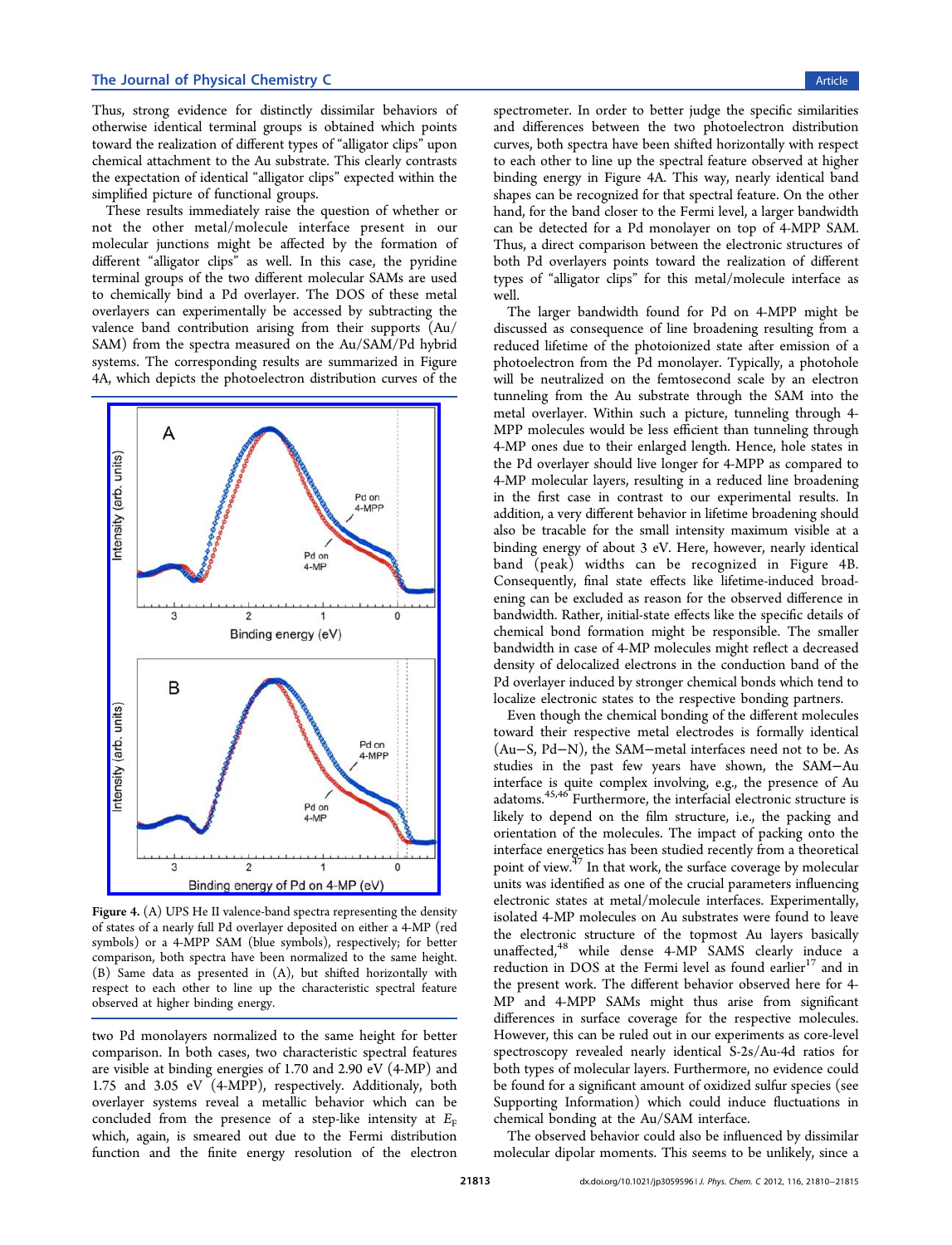Thus, strong evidence for distinctly dissimilar behaviors of otherwise identical terminal groups is obtained which points toward the realization of different types of "alligator clips" upon chemical attachment to the Au substrate. This clearly contrasts the expectation of identical "alligator clips" expected within the simplified picture of functional groups.

These results immediately raise the question of whether or not the other metal/molecule interface present in our molecular junctions might be affected by the formation of different "alligator clips" as well. In this case, the pyridine terminal groups of the two different molecular SAMs are used to chemically bind a Pd overlayer. The DOS of these metal overlayers can experimentally be accessed by subtracting the valence band contribution arising from their supports (Au/ SAM) from the spectra measured on the Au/SAM/Pd hybrid systems. The corresponding results are summarized in Figure 4A, which depicts the photoelectron distribution curves of the



Figure 4. [\(A\) UPS He II valence-band spectra representing the den](http://pubs.acs.org/action/showImage?doi=10.1021/jp3059596&iName=master.img-004.jpg&w=213&h=318)sity of states of a nearly full Pd overlayer deposited on either a 4-MP (red symbols) or a 4-MPP SAM (blue symbols), respectively; for better comparison, both spectra have been normalized to the same height. (B) Same data as presented in (A), but shifted horizontally with respect to each other to line up the characteristic spectral feature observed at higher binding energy.

two Pd monolayers normalized to the same height for better comparison. In both cases, two characteristic spectral features are visible at binding energies of 1.70 and 2.90 eV (4-MP) and 1.75 and 3.05 eV (4-MPP), respectively. Additionaly, both overlayer systems reveal a metallic behavior which can be concluded from the presence of a step-like intensity at  $E_F$ which, again, is smeared out due to the Fermi distribution function and the finite energy resolution of the electron

spectrometer. In order to better judge the specific similarities and differences between the two photoelectron distribution curves, both spectra have been shifted horizontally with respect to each other to line up the spectral feature observed at higher binding energy in Figure 4A. This way, nearly identical band shapes can be recognized for that spectral feature. On the other hand, for the band closer to the Fermi level, a larger bandwidth can be detected for a Pd monolayer on top of 4-MPP SAM. Thus, a direct comparison between the electronic structures of both Pd overlayers points toward the realization of different types of "alligator clips" for this metal/molecule interface as well.

The larger bandwidth found for Pd on 4-MPP might be discussed as consequence of line broadening resulting from a reduced lifetime of the photoionized state after emission of a photoelectron from the Pd monolayer. Typically, a photohole will be neutralized on the femtosecond scale by an electron tunneling from the Au substrate through the SAM into the metal overlayer. Within such a picture, tunneling through 4- MPP molecules would be less efficient than tunneling through 4-MP ones due to their enlarged length. Hence, hole states in the Pd overlayer should live longer for 4-MPP as compared to 4-MP molecular layers, resulting in a reduced line broadening in the first case in contrast to our experimental results. In addition, a very different behavior in lifetime broadening should also be tracable for the small intensity maximum visible at a binding energy of about 3 eV. Here, however, nearly identical band (peak) widths can be recognized in Figure 4B. Consequently, final state effects like lifetime-induced broadening can be excluded as reason for the observed difference in bandwidth. Rather, initial-state effects like the specific details of chemical bond formation might be responsible. The smaller bandwidth in case of 4-MP molecules might reflect a decreased density of delocalized electrons in the conduction band of the Pd overlayer induced by stronger chemical bonds which tend to localize electronic states to the respective bonding partners.

Even though the chemical bonding of the different molecules toward their respective metal electrodes is formally identical (Au−S, Pd−N), the SAM−metal interfaces need not to be. As studies in the past few years have shown, the SAM−Au interface is quite complex involving, e.g., the presence of Au adatoms.45,46 Furthermore, the interfacial electronic structure is likely to depend on the film structure, i.e., the packing and orientati[on o](#page-5-0)f the molecules. The impact of packing onto the interface energetics has been studied recently from a theoretical point of view.<sup>47</sup> In that work, the surface coverage by molecular units was identified as one of the crucial parameters influencing electronic sta[tes](#page-5-0) at metal/molecule interfaces. Experimentally, isolated 4-MP molecules on Au substrates were found to leave the electronic structure of the topmost Au layers basically unaffected, $48$  while dense  $4-MP$  SAMS clearly induce a reduction in DOS at the Fermi level as found earlier<sup>17</sup> and in the presen[t w](#page-5-0)ork. The different behavior observed here for 4- MP and 4-MPP SAMs might thus arise from [sig](#page-4-0)nificant differences in surface coverage for the respective molecules. However, this can be ruled out in our experiments as core-level spectroscopy revealed nearly identical S-2s/Au-4d ratios for both types of molecular layers. Furthermore, no evidence could be found for a significant amount of oxidized sulfur species (see Supporting Information) which could induce fluctuations in chemical bonding at the Au/SAM interface.

[The observed behavio](#page-4-0)r could also be influenced by dissimilar molecular dipolar moments. This seems to be unlikely, since a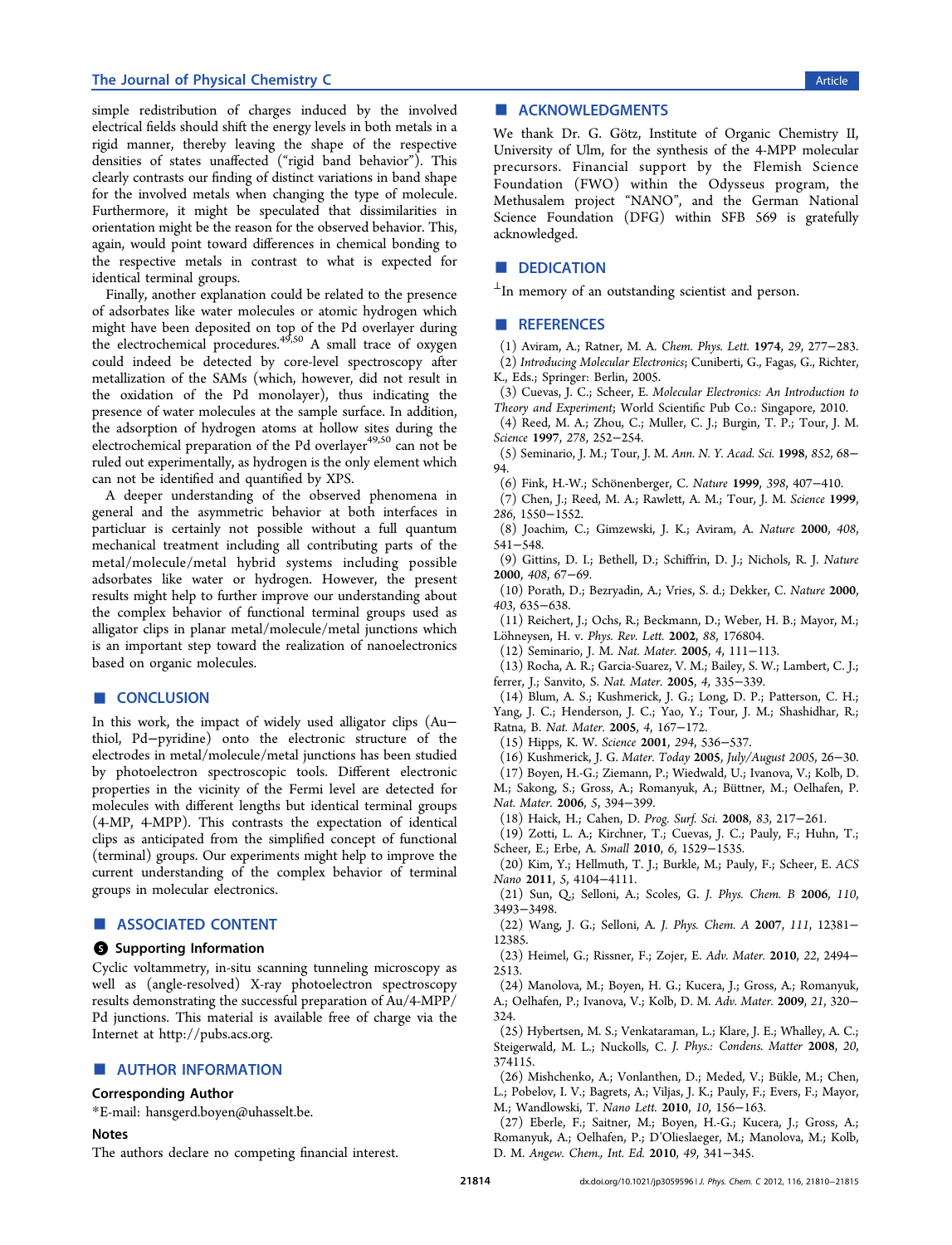<span id="page-4-0"></span>simple redistribution of charges induced by the involved electrical fields should shift the energy levels in both metals in a rigid manner, thereby leaving the shape of the respective densities of states unaffected ("rigid band behavior"). This clearly contrasts our finding of distinct variations in band shape for the involved metals when changing the type of molecule. Furthermore, it might be speculated that dissimilarities in orientation might be the reason for the observed behavior. This, again, would point toward differences in chemical bonding to the respective metals in contrast to what is expected for identical terminal groups.

Finally, another explanation could be related to the presence of adsorbates like water molecules or atomic hydrogen which might have been deposited on top of the Pd overlayer during the electrochemical procedures.<sup> $49,50$ </sup> A small trace of oxygen could indeed be detected by core-level spectroscopy after metallization of the SAMs (whi[ch, h](#page-5-0)owever, did not result in the oxidation of the Pd monolayer), thus indicating the presence of water molecules at the sample surface. In addition, the adsorption of hydrogen atoms at hollow sites during the electrochemical preparation of the Pd overlayer<sup> $49,50$ </sup> can not be ruled out experimentally, as hydrogen is the only element which can not be identified and quantified by XPS.

A deeper understanding of the observed phenomena in general and the asymmetric behavior at both interfaces in particluar is certainly not possible without a full quantum mechanical treatment including all contributing parts of the metal/molecule/metal hybrid systems including possible adsorbates like water or hydrogen. However, the present results might help to further improve our understanding about the complex behavior of functional terminal groups used as alligator clips in planar metal/molecule/metal junctions which is an important step toward the realization of nanoelectronics based on organic molecules.

### ■ CONCLUSION

In this work, the impact of widely used alligator clips (Au− thiol, Pd−pyridine) onto the electronic structure of the electrodes in metal/molecule/metal junctions has been studied by photoelectron spectroscopic tools. Different electronic properties in the vicinity of the Fermi level are detected for molecules with different lengths but identical terminal groups (4-MP, 4-MPP). This contrasts the expectation of identical clips as anticipated from the simplified concept of functional (terminal) groups. Our experiments might help to improve the current understanding of the complex behavior of terminal groups in molecular electronics.

#### ■ ASSOCIATED CONTENT

#### **S** Supporting Information

Cyclic voltammetry, in-situ scanning tunneling microscopy as well as (angle-resolved) X-ray photoelectron spectroscopy results demonstrating the successful preparation of Au/4-MPP/ Pd junctions. This material is available free of charge via the Internet at http://pubs.acs.org.

#### ■ AUTH[OR INFORMATIO](http://pubs.acs.org)N

#### Corresponding Author

\*E-mail: hansgerd.boyen@uhasselt.be.

#### Notes

The auth[ors declare no competing](mailto:hansgerd.boyen@uhasselt.be) financial interest.

# ■ ACKNOWLEDGMENTS

We thank Dr. G. Götz, Institute of Organic Chemistry II, University of Ulm, for the synthesis of the 4-MPP molecular precursors. Financial support by the Flemish Science Foundation (FWO) within the Odysseus program, the Methusalem project "NANO", and the German National Science Foundation (DFG) within SFB 569 is gratefully acknowledged.

■ **DEDICATION**<br><sup>⊥</sup>In memory of an outstanding scientist and person.

### ■ REFERENCES

(1) Aviram, A.; Ratner, M. A. Chem. Phys. Lett. 1974, 29, 277−283. (2) Introducing Molecular Electronics; Cuniberti, G., Fagas, G., Richter,

K., Eds.; Springer: Berlin, 2005.

(3) Cuevas, J. C.; Scheer, E. Molecular Electronics: An Introduction to Theory and Experiment; World Scientific Pub Co.: Singapore, 2010.

(4) Reed, M. A.; Zhou, C.; Muller, C. J.; Burgin, T. P.; Tour, J. M. Science 1997, 278, 252−254.

(5) Seminario, J. M.; Tour, J. M. Ann. N. Y. Acad. Sci. 1998, 852, 68− 94.

(6) Fink, H.-W.; Schönenberger, C. Nature 1999, 398, 407−410.

(7) Chen, J.; Reed, M. A.; Rawlett, A. M.; Tour, J. M. Science 1999, 286, 1550−1552.

(8) Joachim, C.; Gimzewski, J. K.; Aviram, A. Nature 2000, 408, 541−548.

(9) Gittins, D. I.; Bethell, D.; Schiffrin, D. J.; Nichols, R. J. Nature 2000, 408, 67−69.

(10) Porath, D.; Bezryadin, A.; Vries, S. d.; Dekker, C. Nature 2000, 403, 635−638.

(11) Reichert, J.; Ochs, R.; Beckmann, D.; Weber, H. B.; Mayor, M.; Löhneysen, H. v. *Phys. Rev. Lett.* **2002**, 88, 176804.

(12) Seminario, J. M. Nat. Mater. 2005, 4, 111−113.

(13) Rocha, A. R.; Garcia-Suarez, V. M.; Bailey, S. W.; Lambert, C. J.; ferrer, J.; Sanvito, S. Nat. Mater. 2005, 4, 335−339.

(14) Blum, A. S.; Kushmerick, J. G.; Long, D. P.; Patterson, C. H.; Yang, J. C.; Henderson, J. C.; Yao, Y.; Tour, J. M.; Shashidhar, R.; Ratna, B. Nat. Mater. 2005, 4, 167−172.

(15) Hipps, K. W. Science 2001, 294, 536−537.

(16) Kushmerick, J. G. Mater. Today 2005, July/August 2005, 26−30.

(17) Boyen, H.-G.; Ziemann, P.; Wiedwald, U.; Ivanova, V.; Kolb, D.

M.; Sakong, S.; Gross, A.; Romanyuk, A.; Büttner, M.; Oelhafen, P. Nat. Mater. 2006, 5, 394−399.

(18) Haick, H.; Cahen, D. Prog. Surf. Sci. 2008, 83, 217−261.

(19) Zotti, L. A.; Kirchner, T.; Cuevas, J. C.; Pauly, F.; Huhn, T.;

Scheer, E.; Erbe, A. Small 2010, 6, 1529−1535.

(20) Kim, Y.; Hellmuth, T. J.; Burkle, M.; Pauly, F.; Scheer, E. ACS Nano 2011, 5, 4104−4111.

(21) Sun, Q.; Selloni, A.; Scoles, G. J. Phys. Chem. B 2006, 110, 3493−3498.

(22) Wang, J. G.; Selloni, A. J. Phys. Chem. A 2007, 111, 12381− 12385.

(23) Heimel, G.; Rissner, F.; Zojer, E. Adv. Mater. 2010, 22, 2494− 2513.

(24) Manolova, M.; Boyen, H. G.; Kucera, J.; Gross, A.; Romanyuk, A.; Oelhafen, P.; Ivanova, V.; Kolb, D. M. Adv. Mater. 2009, 21, 320− 324.

(25) Hybertsen, M. S.; Venkataraman, L.; Klare, J. E.; Whalley, A. C.; Steigerwald, M. L.; Nuckolls, C. J. Phys.: Condens. Matter 2008, 20, 374115.

(26) Mishchenko, A.; Vonlanthen, D.; Meded, V.; Bü kle, M.; Chen, L.; Pobelov, I. V.; Bagrets, A.; Viljas, J. K.; Pauly, F.; Evers, F.; Mayor, M.; Wandlowski, T. Nano Lett. 2010, 10, 156−163.

(27) Eberle, F.; Saitner, M.; Boyen, H.-G.; Kucera, J.; Gross, A.; Romanyuk, A.; Oelhafen, P.; D'Olieslaeger, M.; Manolova, M.; Kolb, D. M. Angew. Chem., Int. Ed. 2010, 49, 341−345.